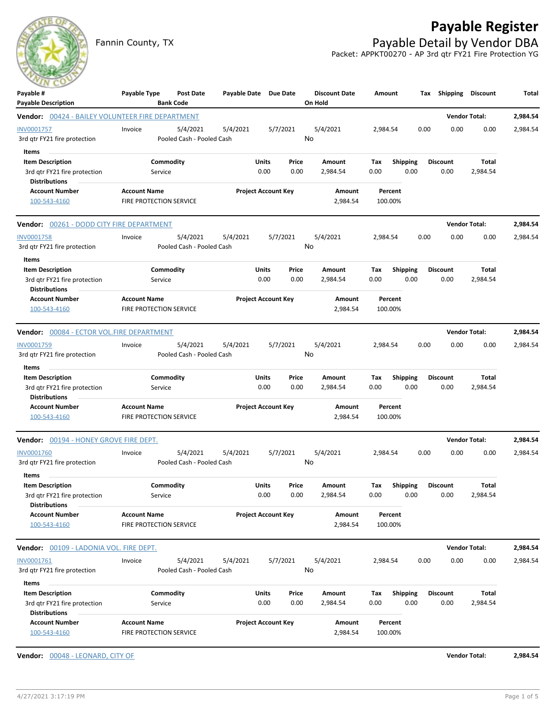

## **Payable Register**

Fannin County, TX **Payable Detail by Vendor DBA** Packet: APPKT00270 - AP 3rd qtr FY21 Fire Protection YG

| $-11$<br>Payable #                                                             | Payable Type                                   | <b>Post Date</b><br><b>Bank Code</b> | Payable Date Due Date |                            |       | <b>Discount Date</b><br>On Hold | Amount   |                    | Tax  | Shipping        | Discount             | Total    |
|--------------------------------------------------------------------------------|------------------------------------------------|--------------------------------------|-----------------------|----------------------------|-------|---------------------------------|----------|--------------------|------|-----------------|----------------------|----------|
| <b>Payable Description</b><br>Vendor: 00424 - BAILEY VOLUNTEER FIRE DEPARTMENT |                                                |                                      |                       |                            |       |                                 |          |                    |      |                 | <b>Vendor Total:</b> | 2,984.54 |
| INV0001757                                                                     | Invoice                                        | 5/4/2021                             | 5/4/2021              | 5/7/2021                   |       | 5/4/2021                        | 2,984.54 |                    | 0.00 | 0.00            | 0.00                 | 2,984.54 |
| 3rd qtr FY21 fire protection                                                   |                                                | Pooled Cash - Pooled Cash            |                       |                            |       | No                              |          |                    |      |                 |                      |          |
| Items                                                                          |                                                |                                      |                       |                            |       |                                 |          |                    |      |                 |                      |          |
| <b>Item Description</b>                                                        |                                                | Commodity                            |                       | Units                      | Price | Amount                          | Tax      | <b>Shipping</b>    |      | <b>Discount</b> | Total                |          |
| 3rd qtr FY21 fire protection                                                   | Service                                        |                                      |                       | 0.00                       | 0.00  | 2,984.54                        | 0.00     | 0.00               |      | 0.00            | 2,984.54             |          |
| <b>Distributions</b>                                                           |                                                |                                      |                       |                            |       |                                 |          |                    |      |                 |                      |          |
| <b>Account Number</b><br>100-543-4160                                          | <b>Account Name</b><br>FIRE PROTECTION SERVICE |                                      |                       | <b>Project Account Key</b> |       | Amount<br>2,984.54              |          | Percent<br>100.00% |      |                 |                      |          |
|                                                                                |                                                |                                      |                       |                            |       |                                 |          |                    |      |                 |                      |          |
| <b>Vendor:</b> 00261 - DODD CITY FIRE DEPARTMENT                               |                                                |                                      |                       |                            |       |                                 |          |                    |      |                 | <b>Vendor Total:</b> | 2,984.54 |
| <b>INV0001758</b>                                                              | Invoice                                        | 5/4/2021                             | 5/4/2021              | 5/7/2021                   |       | 5/4/2021                        | 2,984.54 |                    | 0.00 | 0.00            | 0.00                 | 2,984.54 |
| 3rd qtr FY21 fire protection                                                   |                                                | Pooled Cash - Pooled Cash            |                       |                            |       | No                              |          |                    |      |                 |                      |          |
| Items                                                                          |                                                |                                      |                       |                            |       |                                 |          |                    |      |                 |                      |          |
| <b>Item Description</b>                                                        |                                                | Commodity                            |                       | Units                      | Price | Amount                          | Tax      | <b>Shipping</b>    |      | <b>Discount</b> | Total                |          |
| 3rd qtr FY21 fire protection<br><b>Distributions</b>                           | Service                                        |                                      |                       | 0.00                       | 0.00  | 2,984.54                        | 0.00     | 0.00               |      | 0.00            | 2,984.54             |          |
| <b>Account Number</b>                                                          | <b>Account Name</b>                            |                                      |                       | <b>Project Account Key</b> |       | Amount                          |          | Percent            |      |                 |                      |          |
| 100-543-4160                                                                   | <b>FIRE PROTECTION SERVICE</b>                 |                                      |                       |                            |       | 2,984.54                        |          | 100.00%            |      |                 |                      |          |
| Vendor: 00084 - ECTOR VOL.FIRE DEPARTMENT                                      |                                                |                                      |                       |                            |       |                                 |          |                    |      |                 | <b>Vendor Total:</b> | 2,984.54 |
| INV0001759                                                                     | Invoice                                        | 5/4/2021                             | 5/4/2021              | 5/7/2021                   |       | 5/4/2021                        | 2,984.54 |                    | 0.00 | 0.00            | 0.00                 | 2,984.54 |
| 3rd qtr FY21 fire protection                                                   |                                                | Pooled Cash - Pooled Cash            |                       |                            |       | No                              |          |                    |      |                 |                      |          |
| Items                                                                          |                                                |                                      |                       |                            |       |                                 |          |                    |      |                 |                      |          |
| <b>Item Description</b>                                                        |                                                | Commodity                            |                       | Units                      | Price | Amount                          | Tax      | <b>Shipping</b>    |      | <b>Discount</b> | Total                |          |
| 3rd qtr FY21 fire protection                                                   | Service                                        |                                      |                       | 0.00                       | 0.00  | 2,984.54                        | 0.00     | 0.00               |      | 0.00            | 2,984.54             |          |
| <b>Distributions</b>                                                           |                                                |                                      |                       |                            |       |                                 |          |                    |      |                 |                      |          |
| <b>Account Number</b>                                                          | <b>Account Name</b>                            |                                      |                       | <b>Project Account Key</b> |       | Amount                          |          | Percent            |      |                 |                      |          |
| 100-543-4160                                                                   | FIRE PROTECTION SERVICE                        |                                      |                       |                            |       | 2,984.54                        |          | 100.00%            |      |                 |                      |          |
| Vendor: 00194 - HONEY GROVE FIRE DEPT.                                         |                                                |                                      |                       |                            |       |                                 |          |                    |      |                 | <b>Vendor Total:</b> | 2,984.54 |
| <b>INV0001760</b>                                                              | Invoice                                        | 5/4/2021                             | 5/4/2021              | 5/7/2021                   |       | 5/4/2021                        | 2,984.54 |                    | 0.00 | 0.00            | 0.00                 | 2,984.54 |
| 3rd gtr FY21 fire protection                                                   |                                                | Pooled Cash - Pooled Cash            |                       |                            |       | No                              |          |                    |      |                 |                      |          |
| Items                                                                          |                                                |                                      |                       |                            |       |                                 |          |                    |      |                 |                      |          |
| <b>Item Description</b>                                                        |                                                | Commodity                            |                       | Units                      | Price | Amount                          | Tax      | <b>Shipping</b>    |      | <b>Discount</b> | Total                |          |
| 3rd qtr FY21 fire protection                                                   | Service                                        |                                      |                       | 0.00                       | 0.00  | 2,984.54                        | 0.00     | 0.00               |      | 0.00            | 2,984.54             |          |
| <b>Distributions</b>                                                           |                                                |                                      |                       |                            |       |                                 |          |                    |      |                 |                      |          |
| <b>Account Number</b>                                                          | <b>Account Name</b>                            |                                      |                       | <b>Project Account Key</b> |       | Amount                          |          | Percent            |      |                 |                      |          |
| 100-543-4160                                                                   | <b>FIRE PROTECTION SERVICE</b>                 |                                      |                       |                            |       | 2,984.54                        |          | 100.00%            |      |                 |                      |          |
| <b>Vendor:</b> 00109 - LADONIA VOL. FIRE DEPT.                                 |                                                |                                      |                       |                            |       |                                 |          |                    |      |                 | <b>Vendor Total:</b> | 2,984.54 |
| INV0001761                                                                     | Invoice                                        | 5/4/2021                             | 5/4/2021              | 5/7/2021                   |       | 5/4/2021                        | 2,984.54 |                    | 0.00 | 0.00            | 0.00                 | 2,984.54 |
| 3rd qtr FY21 fire protection                                                   |                                                | Pooled Cash - Pooled Cash            |                       |                            |       | No                              |          |                    |      |                 |                      |          |
| Items                                                                          |                                                |                                      |                       |                            |       |                                 |          |                    |      |                 |                      |          |
| <b>Item Description</b>                                                        |                                                | Commodity                            |                       | <b>Units</b>               | Price | Amount                          | Tax      | <b>Shipping</b>    |      | <b>Discount</b> | Total                |          |
| 3rd qtr FY21 fire protection                                                   | Service                                        |                                      |                       | 0.00                       | 0.00  | 2,984.54                        | 0.00     | 0.00               |      | 0.00            | 2,984.54             |          |
| <b>Distributions</b>                                                           |                                                |                                      |                       |                            |       |                                 |          |                    |      |                 |                      |          |
| <b>Account Number</b>                                                          | <b>Account Name</b>                            |                                      |                       | <b>Project Account Key</b> |       | Amount                          |          | Percent            |      |                 |                      |          |
| 100-543-4160                                                                   | FIRE PROTECTION SERVICE                        |                                      |                       |                            |       | 2,984.54                        |          | 100.00%            |      |                 |                      |          |

**Vendor:** 00048 - LEONARD, CITY OF **Vendor Total: 2,984.54**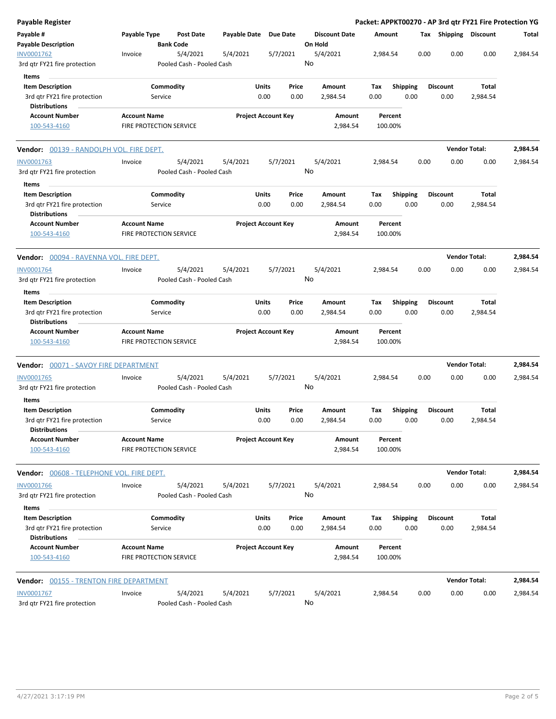| Payable Register                                                                |                                                       |                      |                                       |              |               |                            |    |                                 |             |         |                         |      |                         | Packet: APPKT00270 - AP 3rd qtr FY21 Fire Protection YG |          |
|---------------------------------------------------------------------------------|-------------------------------------------------------|----------------------|---------------------------------------|--------------|---------------|----------------------------|----|---------------------------------|-------------|---------|-------------------------|------|-------------------------|---------------------------------------------------------|----------|
| Payable #<br><b>Payable Description</b>                                         | Payable Type                                          |                      | <b>Post Date</b><br><b>Bank Code</b>  | Payable Date |               | <b>Due Date</b>            |    | <b>Discount Date</b><br>On Hold | Amount      |         |                         |      | Tax Shipping Discount   |                                                         | Total    |
| INV0001762<br>3rd gtr FY21 fire protection                                      | Invoice                                               |                      | 5/4/2021<br>Pooled Cash - Pooled Cash | 5/4/2021     |               | 5/7/2021                   | No | 5/4/2021                        | 2,984.54    |         |                         | 0.00 | 0.00                    | 0.00                                                    | 2,984.54 |
| Items                                                                           |                                                       |                      |                                       |              |               |                            |    |                                 |             |         |                         |      |                         |                                                         |          |
| <b>Item Description</b>                                                         |                                                       | Commodity            |                                       |              | Units         | Price                      |    | Amount                          | Tax         |         | Shipping                |      | <b>Discount</b>         | Total                                                   |          |
| 3rd qtr FY21 fire protection<br><b>Distributions</b>                            |                                                       | Service              |                                       |              | 0.00          | 0.00                       |    | 2,984.54                        | 0.00        |         | 0.00                    |      | 0.00                    | 2,984.54                                                |          |
| <b>Account Number</b><br>100-543-4160                                           | <b>Account Name</b><br>FIRE PROTECTION SERVICE        |                      |                                       |              |               | <b>Project Account Key</b> |    | Amount<br>2,984.54              | 100.00%     | Percent |                         |      |                         |                                                         |          |
| Vendor: 00139 - RANDOLPH VOL. FIRE DEPT.                                        |                                                       |                      |                                       |              |               |                            |    |                                 |             |         |                         |      | <b>Vendor Total:</b>    |                                                         | 2,984.54 |
| INV0001763                                                                      | Invoice                                               |                      | 5/4/2021                              | 5/4/2021     |               | 5/7/2021                   |    | 5/4/2021                        | 2,984.54    |         |                         | 0.00 | 0.00                    | 0.00                                                    | 2,984.54 |
| 3rd qtr FY21 fire protection                                                    |                                                       |                      | Pooled Cash - Pooled Cash             |              |               |                            | No |                                 |             |         |                         |      |                         |                                                         |          |
| Items<br><b>Item Description</b>                                                |                                                       | Commodity            |                                       |              | Units         | Price                      |    | Amount                          | Tax         |         | <b>Shipping</b>         |      | <b>Discount</b>         | Total                                                   |          |
| 3rd qtr FY21 fire protection<br><b>Distributions</b>                            |                                                       | Service              |                                       |              | 0.00          | 0.00                       |    | 2,984.54                        | 0.00        |         | 0.00                    |      | 0.00                    | 2,984.54                                                |          |
| <b>Account Number</b><br>100-543-4160                                           | <b>Account Name</b><br><b>FIRE PROTECTION SERVICE</b> |                      |                                       |              |               | <b>Project Account Key</b> |    | Amount<br>2,984.54              | 100.00%     | Percent |                         |      |                         |                                                         |          |
| <b>Vendor:</b> 00094 - RAVENNA VOL. FIRE DEPT.                                  |                                                       |                      |                                       |              |               |                            |    |                                 |             |         |                         |      | <b>Vendor Total:</b>    |                                                         | 2,984.54 |
| INV0001764                                                                      | Invoice                                               |                      | 5/4/2021                              | 5/4/2021     |               | 5/7/2021                   |    | 5/4/2021                        | 2,984.54    |         |                         | 0.00 | 0.00                    | 0.00                                                    | 2,984.54 |
| 3rd gtr FY21 fire protection                                                    |                                                       |                      | Pooled Cash - Pooled Cash             |              |               |                            | No |                                 |             |         |                         |      |                         |                                                         |          |
| Items                                                                           |                                                       |                      |                                       |              |               |                            |    |                                 |             |         |                         |      |                         |                                                         |          |
| <b>Item Description</b><br>3rd qtr FY21 fire protection<br><b>Distributions</b> |                                                       | Commodity<br>Service |                                       |              | Units<br>0.00 | Price<br>0.00              |    | Amount<br>2,984.54              | Tax<br>0.00 |         | <b>Shipping</b><br>0.00 |      | <b>Discount</b><br>0.00 | Total<br>2,984.54                                       |          |
| <b>Account Number</b><br>100-543-4160                                           | <b>Account Name</b><br>FIRE PROTECTION SERVICE        |                      |                                       |              |               | <b>Project Account Key</b> |    | Amount<br>2,984.54              | 100.00%     | Percent |                         |      |                         |                                                         |          |
| Vendor: 00071 - SAVOY FIRE DEPARTMENT                                           |                                                       |                      |                                       |              |               |                            |    |                                 |             |         |                         |      | <b>Vendor Total:</b>    |                                                         | 2,984.54 |
| <b>INV0001765</b><br>3rd gtr FY21 fire protection<br>Items                      | Invoice                                               |                      | 5/4/2021<br>Pooled Cash - Pooled Cash | 5/4/2021     |               | 5/7/2021                   | No | 5/4/2021                        | 2,984.54    |         |                         | 0.00 | 0.00                    | 0.00                                                    | 2,984.54 |
| <b>Item Description</b><br>3rd qtr FY21 fire protection<br><b>Distributions</b> |                                                       | Commodity<br>Service |                                       |              | Units<br>0.00 | Price<br>0.00              |    | Amount<br>2,984.54              | Tax<br>0.00 |         | <b>Shipping</b><br>0.00 |      | <b>Discount</b><br>0.00 | Total<br>2,984.54                                       |          |
| <b>Account Number</b><br>100-543-4160                                           | <b>Account Name</b><br>FIRE PROTECTION SERVICE        |                      |                                       |              |               | <b>Project Account Key</b> |    | Amount<br>2,984.54              | 100.00%     | Percent |                         |      |                         |                                                         |          |
| Vendor: 00608 - TELEPHONE VOL. FIRE DEPT.                                       |                                                       |                      |                                       |              |               |                            |    |                                 |             |         |                         |      | <b>Vendor Total:</b>    |                                                         | 2,984.54 |
| <b>INV0001766</b><br>3rd gtr FY21 fire protection                               | Invoice                                               |                      | 5/4/2021<br>Pooled Cash - Pooled Cash | 5/4/2021     |               | 5/7/2021                   | No | 5/4/2021                        | 2,984.54    |         |                         | 0.00 | 0.00                    | 0.00                                                    | 2,984.54 |
| Items<br><b>Item Description</b>                                                |                                                       |                      |                                       |              | Units         | Price                      |    |                                 |             |         | Shipping                |      | <b>Discount</b>         | Total                                                   |          |
| 3rd qtr FY21 fire protection<br><b>Distributions</b>                            |                                                       | Commodity<br>Service |                                       |              | 0.00          | 0.00                       |    | Amount<br>2,984.54              | Tax<br>0.00 |         | 0.00                    |      | 0.00                    | 2,984.54                                                |          |
| <b>Account Number</b><br>100-543-4160                                           | <b>Account Name</b><br>FIRE PROTECTION SERVICE        |                      |                                       |              |               | <b>Project Account Key</b> |    | Amount<br>2,984.54              | 100.00%     | Percent |                         |      |                         |                                                         |          |
|                                                                                 |                                                       |                      |                                       |              |               |                            |    |                                 |             |         |                         |      | <b>Vendor Total:</b>    |                                                         | 2,984.54 |
| INV0001767<br>3rd qtr FY21 fire protection                                      | Invoice                                               |                      | 5/4/2021<br>Pooled Cash - Pooled Cash | 5/4/2021     |               | 5/7/2021                   | No | 5/4/2021                        | 2,984.54    |         |                         | 0.00 | 0.00                    | 0.00                                                    | 2,984.54 |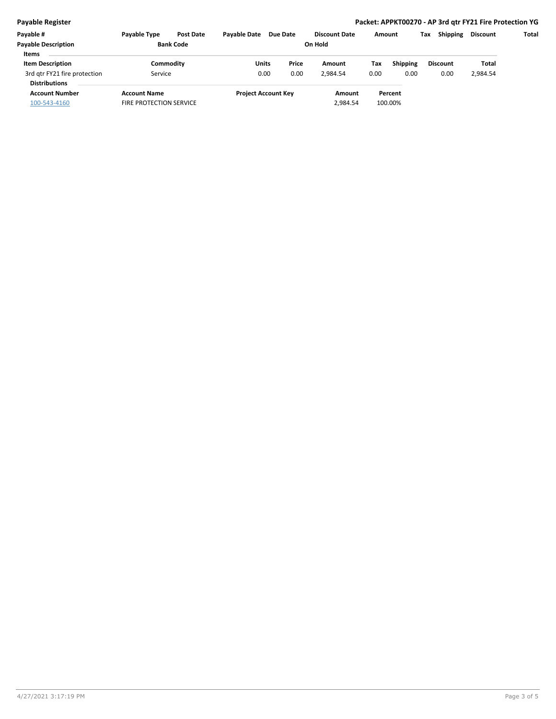## **Payable Register Packet: APPKT00270 - AP 3rd qtr FY21 Fire Protection YG**

| <b>Pavable Type</b> | <b>Post Date</b> | <b>Pavable Date</b>                                    | Due Date |                                             |               |                      |  | Tax                          | <b>Shipping</b>         | <b>Discount</b> | Total |
|---------------------|------------------|--------------------------------------------------------|----------|---------------------------------------------|---------------|----------------------|--|------------------------------|-------------------------|-----------------|-------|
| <b>Bank Code</b>    |                  | On Hold                                                |          |                                             |               |                      |  |                              |                         |                 |       |
|                     |                  |                                                        |          |                                             |               |                      |  |                              |                         |                 |       |
|                     |                  |                                                        |          |                                             | Amount        | Tax                  |  |                              |                         | Total           |       |
|                     |                  |                                                        |          |                                             | 2.984.54      | 0.00                 |  |                              | 0.00                    | 2,984.54        |       |
|                     |                  |                                                        |          |                                             |               |                      |  |                              |                         |                 |       |
| <b>Account Name</b> |                  |                                                        |          |                                             | Amount        |                      |  |                              |                         |                 |       |
|                     |                  |                                                        |          |                                             | 2,984.54      |                      |  |                              |                         |                 |       |
|                     |                  | Commodity<br>Service<br><b>FIRE PROTECTION SERVICE</b> |          | Units<br>0.00<br><b>Project Account Key</b> | Price<br>0.00 | <b>Discount Date</b> |  | Amount<br>Percent<br>100.00% | <b>Shipping</b><br>0.00 | <b>Discount</b> |       |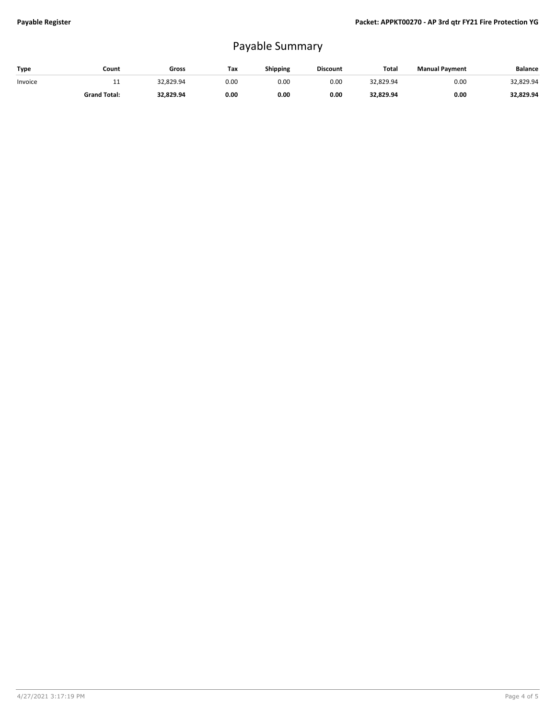## Payable Summary

| Type    | Count               | Gross     | Tax  | <b>Shipping</b> | <b>Discount</b> | <b>Total</b> | <b>Manual Payment</b> | <b>Balance</b> |
|---------|---------------------|-----------|------|-----------------|-----------------|--------------|-----------------------|----------------|
| Invoice | <b>. .</b>          | 32,829.94 | 0.00 | 0.00            | 0.00            | 32,829.94    | 0.00                  | 32,829.94      |
|         | <b>Grand Total:</b> | 32.829.94 | 0.00 | 0.00            | 0.00            | 32,829.94    | 0.00                  | 32,829.94      |